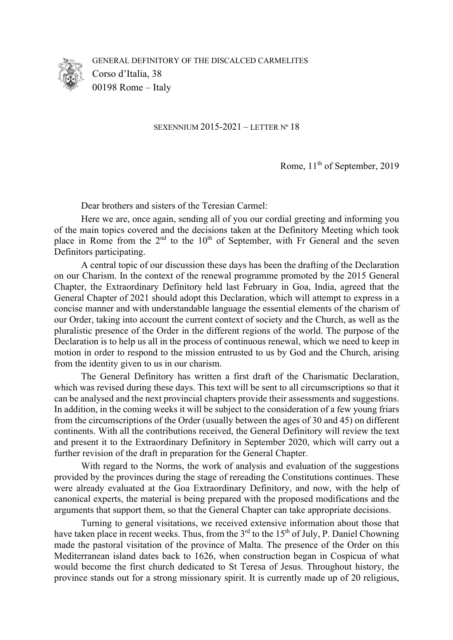

GENERAL DEFINITORY OF THE DISCALCED CARMELITES Corso d'Italia, 38 00198 Rome – Italy

SEXENNIUM 2015-2021 – LETTER Nº 18

Rome,  $11<sup>th</sup>$  of September, 2019

Dear brothers and sisters of the Teresian Carmel:

Here we are, once again, sending all of you our cordial greeting and informing you of the main topics covered and the decisions taken at the Definitory Meeting which took place in Rome from the  $2<sup>nd</sup>$  to the  $10<sup>th</sup>$  of September, with Fr General and the seven Definitors participating.

A central topic of our discussion these days has been the drafting of the Declaration on our Charism. In the context of the renewal programme promoted by the 2015 General Chapter, the Extraordinary Definitory held last February in Goa, India, agreed that the General Chapter of 2021 should adopt this Declaration, which will attempt to express in a concise manner and with understandable language the essential elements of the charism of our Order, taking into account the current context of society and the Church, as well as the pluralistic presence of the Order in the different regions of the world. The purpose of the Declaration is to help us all in the process of continuous renewal, which we need to keep in motion in order to respond to the mission entrusted to us by God and the Church, arising from the identity given to us in our charism.

The General Definitory has written a first draft of the Charismatic Declaration, which was revised during these days. This text will be sent to all circumscriptions so that it can be analysed and the next provincial chapters provide their assessments and suggestions. In addition, in the coming weeks it will be subject to the consideration of a few young friars from the circumscriptions of the Order (usually between the ages of 30 and 45) on different continents. With all the contributions received, the General Definitory will review the text and present it to the Extraordinary Definitory in September 2020, which will carry out a further revision of the draft in preparation for the General Chapter.

With regard to the Norms, the work of analysis and evaluation of the suggestions provided by the provinces during the stage of rereading the Constitutions continues. These were already evaluated at the Goa Extraordinary Definitory, and now, with the help of canonical experts, the material is being prepared with the proposed modifications and the arguments that support them, so that the General Chapter can take appropriate decisions.

Turning to general visitations, we received extensive information about those that have taken place in recent weeks. Thus, from the  $3<sup>rd</sup>$  to the 15<sup>th</sup> of July, P. Daniel Chowning made the pastoral visitation of the province of Malta. The presence of the Order on this Mediterranean island dates back to 1626, when construction began in Cospicua of what would become the first church dedicated to St Teresa of Jesus. Throughout history, the province stands out for a strong missionary spirit. It is currently made up of 20 religious,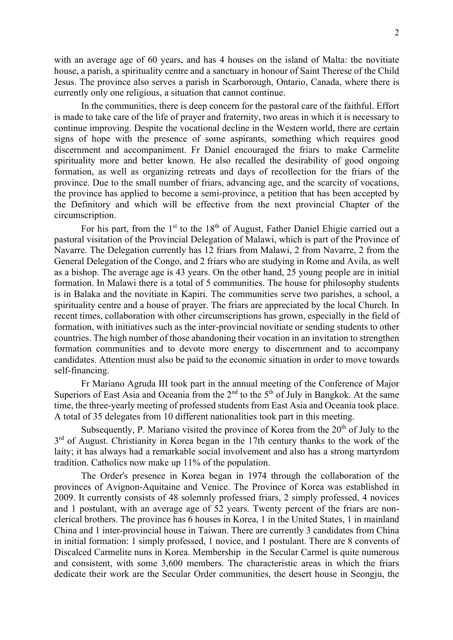with an average age of 60 years, and has 4 houses on the island of Malta: the novitiate house, a parish, a spirituality centre and a sanctuary in honour of Saint Therese of the Child Jesus. The province also serves a parish in Scarborough, Ontario, Canada, where there is currently only one religious, a situation that cannot continue.

In the communities, there is deep concern for the pastoral care of the faithful. Effort is made to take care of the life of prayer and fraternity, two areas in which it is necessary to continue improving. Despite the vocational decline in the Western world, there are certain signs of hope with the presence of some aspirants, something which requires good discernment and accompaniment. Fr Daniel encouraged the friars to make Carmelite spirituality more and better known. He also recalled the desirability of good ongoing formation, as well as organizing retreats and days of recollection for the friars of the province. Due to the small number of friars, advancing age, and the scarcity of vocations, the province has applied to become a semi-province, a petition that has been accepted by the Definitory and which will be effective from the next provincial Chapter of the circumscription.

For his part, from the  $1<sup>st</sup>$  to the  $18<sup>th</sup>$  of August, Father Daniel Ehigie carried out a pastoral visitation of the Provincial Delegation of Malawi, which is part of the Province of Navarre. The Delegation currently has 12 friars from Malawi, 2 from Navarre, 2 from the General Delegation of the Congo, and 2 friars who are studying in Rome and Avila, as well as a bishop. The average age is 43 years. On the other hand, 25 young people are in initial formation. In Malawi there is a total of 5 communities. The house for philosophy students is in Balaka and the novitiate in Kapiri. The communities serve two parishes, a school, a spirituality centre and a house of prayer. The friars are appreciated by the local Church. In recent times, collaboration with other circumscriptions has grown, especially in the field of formation, with initiatives such as the inter-provincial novitiate or sending students to other countries. The high number of those abandoning their vocation in an invitation to strengthen formation communities and to devote more energy to discernment and to accompany candidates. Attention must also be paid to the economic situation in order to move towards self-financing.

Fr Mariano Agruda III took part in the annual meeting of the Conference of Major Superiors of East Asia and Oceania from the  $2<sup>nd</sup>$  to the  $5<sup>th</sup>$  of July in Bangkok. At the same time, the three-yearly meeting of professed students from East Asia and Oceania took place. A total of 35 delegates from 10 different nationalities took part in this meeting.

Subsequently, P. Mariano visited the province of Korea from the 20<sup>th</sup> of July to the  $3<sup>rd</sup>$  of August. Christianity in Korea began in the 17th century thanks to the work of the laity; it has always had a remarkable social involvement and also has a strong martyrdom tradition. Catholics now make up 11% of the population.

The Order's presence in Korea began in 1974 through the collaboration of the provinces of Avignon-Aquitaine and Venice. The Province of Korea was established in 2009. It currently consists of 48 solemnly professed friars, 2 simply professed, 4 novices and 1 postulant, with an average age of 52 years. Twenty percent of the friars are nonclerical brothers. The province has 6 houses in Korea, 1 in the United States, 1 in mainland China and 1 inter-provincial house in Taiwan. There are currently 3 candidates from China in initial formation: 1 simply professed, 1 novice, and 1 postulant. There are 8 convents of Discalced Carmelite nuns in Korea. Membership in the Secular Carmel is quite numerous and consistent, with some 3,600 members. The characteristic areas in which the friars dedicate their work are the Secular Order communities, the desert house in Seongju, the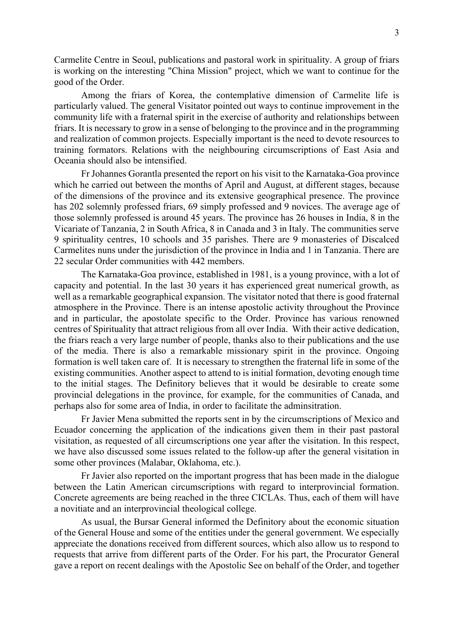Carmelite Centre in Seoul, publications and pastoral work in spirituality. A group of friars is working on the interesting "China Mission" project, which we want to continue for the good of the Order.

Among the friars of Korea, the contemplative dimension of Carmelite life is particularly valued. The general Visitator pointed out ways to continue improvement in the community life with a fraternal spirit in the exercise of authority and relationships between friars. It is necessary to grow in a sense of belonging to the province and in the programming and realization of common projects. Especially important is the need to devote resources to training formators. Relations with the neighbouring circumscriptions of East Asia and Oceania should also be intensified.

Fr Johannes Gorantla presented the report on his visit to the Karnataka-Goa province which he carried out between the months of April and August, at different stages, because of the dimensions of the province and its extensive geographical presence. The province has 202 solemnly professed friars, 69 simply professed and 9 novices. The average age of those solemnly professed is around 45 years. The province has 26 houses in India, 8 in the Vicariate of Tanzania, 2 in South Africa, 8 in Canada and 3 in Italy. The communities serve 9 spirituality centres, 10 schools and 35 parishes. There are 9 monasteries of Discalced Carmelites nuns under the jurisdiction of the province in India and 1 in Tanzania. There are 22 secular Order communities with 442 members.

The Karnataka-Goa province, established in 1981, is a young province, with a lot of capacity and potential. In the last 30 years it has experienced great numerical growth, as well as a remarkable geographical expansion. The visitator noted that there is good fraternal atmosphere in the Province. There is an intense apostolic activity throughout the Province and in particular, the apostolate specific to the Order. Province has various renowned centres of Spirituality that attract religious from all over India. With their active dedication, the friars reach a very large number of people, thanks also to their publications and the use of the media. There is also a remarkable missionary spirit in the province. Ongoing formation is well taken care of. It is necessary to strengthen the fraternal life in some of the existing communities. Another aspect to attend to is initial formation, devoting enough time to the initial stages. The Definitory believes that it would be desirable to create some provincial delegations in the province, for example, for the communities of Canada, and perhaps also for some area of India, in order to facilitate the adminsitration.

Fr Javier Mena submitted the reports sent in by the circumscriptions of Mexico and Ecuador concerning the application of the indications given them in their past pastoral visitation, as requested of all circumscriptions one year after the visitation. In this respect, we have also discussed some issues related to the follow-up after the general visitation in some other provinces (Malabar, Oklahoma, etc.).

Fr Javier also reported on the important progress that has been made in the dialogue between the Latin American circumscriptions with regard to interprovincial formation. Concrete agreements are being reached in the three CICLAs. Thus, each of them will have a novitiate and an interprovincial theological college.

As usual, the Bursar General informed the Definitory about the economic situation of the General House and some of the entities under the general government. We especially appreciate the donations received from different sources, which also allow us to respond to requests that arrive from different parts of the Order. For his part, the Procurator General gave a report on recent dealings with the Apostolic See on behalf of the Order, and together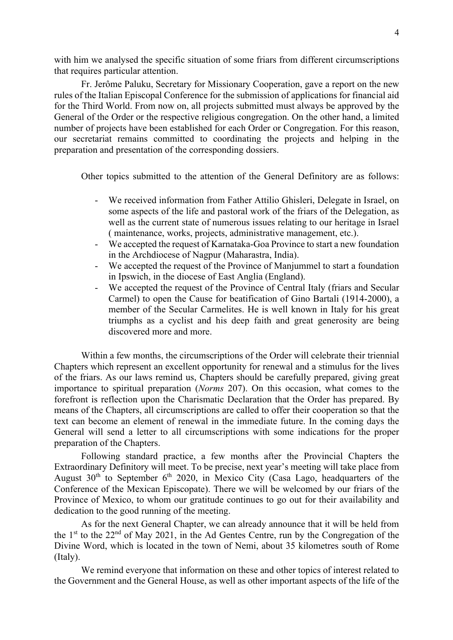with him we analysed the specific situation of some friars from different circumscriptions that requires particular attention.

Fr. Jerôme Paluku, Secretary for Missionary Cooperation, gave a report on the new rules of the Italian Episcopal Conference for the submission of applications for financial aid for the Third World. From now on, all projects submitted must always be approved by the General of the Order or the respective religious congregation. On the other hand, a limited number of projects have been established for each Order or Congregation. For this reason, our secretariat remains committed to coordinating the projects and helping in the preparation and presentation of the corresponding dossiers.

Other topics submitted to the attention of the General Definitory are as follows:

- We received information from Father Attilio Ghisleri, Delegate in Israel, on some aspects of the life and pastoral work of the friars of the Delegation, as well as the current state of numerous issues relating to our heritage in Israel ( maintenance, works, projects, administrative management, etc.).
- We accepted the request of Karnataka-Goa Province to start a new foundation in the Archdiocese of Nagpur (Maharastra, India).
- We accepted the request of the Province of Manjummel to start a foundation in Ipswich, in the diocese of East Anglia (England).
- We accepted the request of the Province of Central Italy (friars and Secular Carmel) to open the Cause for beatification of Gino Bartali (1914-2000), a member of the Secular Carmelites. He is well known in Italy for his great triumphs as a cyclist and his deep faith and great generosity are being discovered more and more.

Within a few months, the circumscriptions of the Order will celebrate their triennial Chapters which represent an excellent opportunity for renewal and a stimulus for the lives of the friars. As our laws remind us, Chapters should be carefully prepared, giving great importance to spiritual preparation (*Norms* 207). On this occasion, what comes to the forefront is reflection upon the Charismatic Declaration that the Order has prepared. By means of the Chapters, all circumscriptions are called to offer their cooperation so that the text can become an element of renewal in the immediate future. In the coming days the General will send a letter to all circumscriptions with some indications for the proper preparation of the Chapters.

Following standard practice, a few months after the Provincial Chapters the Extraordinary Definitory will meet. To be precise, next year's meeting will take place from August  $30<sup>th</sup>$  to September  $6<sup>th</sup>$  2020, in Mexico City (Casa Lago, headquarters of the Conference of the Mexican Episcopate). There we will be welcomed by our friars of the Province of Mexico, to whom our gratitude continues to go out for their availability and dedication to the good running of the meeting.

As for the next General Chapter, we can already announce that it will be held from the  $1<sup>st</sup>$  to the  $22<sup>nd</sup>$  of May 2021, in the Ad Gentes Centre, run by the Congregation of the Divine Word, which is located in the town of Nemi, about 35 kilometres south of Rome (Italy).

We remind everyone that information on these and other topics of interest related to the Government and the General House, as well as other important aspects of the life of the